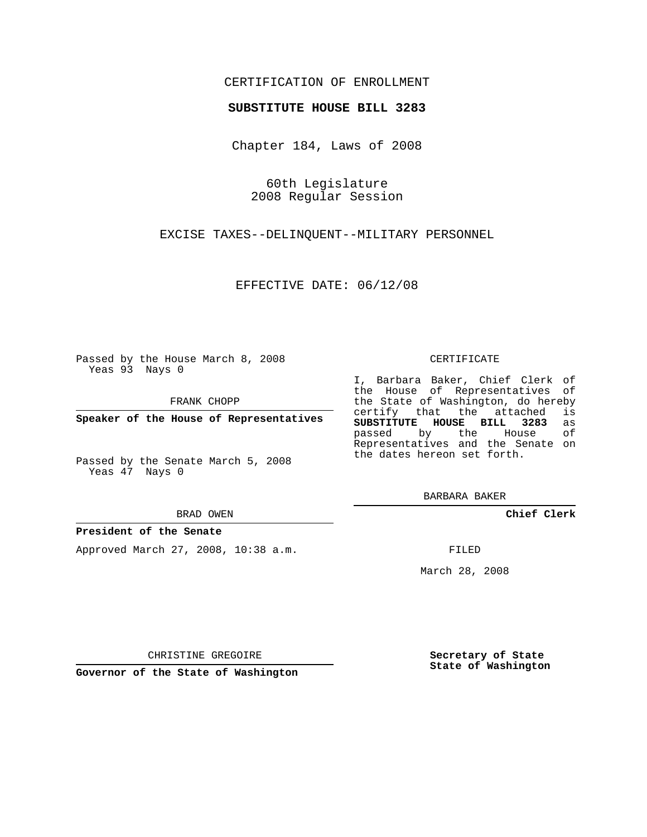# CERTIFICATION OF ENROLLMENT

## **SUBSTITUTE HOUSE BILL 3283**

Chapter 184, Laws of 2008

60th Legislature 2008 Regular Session

EXCISE TAXES--DELINQUENT--MILITARY PERSONNEL

EFFECTIVE DATE: 06/12/08

Passed by the House March 8, 2008 Yeas 93 Nays 0

FRANK CHOPP

**Speaker of the House of Representatives**

Passed by the Senate March 5, 2008 Yeas 47 Nays 0

#### BRAD OWEN

## **President of the Senate**

Approved March 27, 2008, 10:38 a.m.

#### CERTIFICATE

I, Barbara Baker, Chief Clerk of the House of Representatives of the State of Washington, do hereby<br>certify that the attached is certify that the attached **SUBSTITUTE HOUSE BILL 3283** as passed by the House Representatives and the Senate on the dates hereon set forth.

BARBARA BAKER

**Chief Clerk**

FILED

March 28, 2008

**Secretary of State State of Washington**

**Governor of the State of Washington**

CHRISTINE GREGOIRE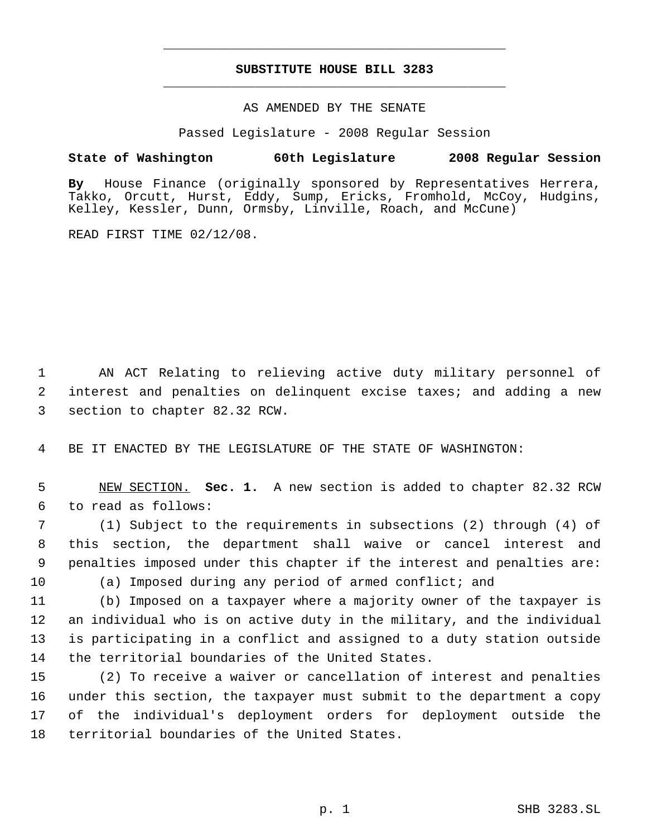# **SUBSTITUTE HOUSE BILL 3283** \_\_\_\_\_\_\_\_\_\_\_\_\_\_\_\_\_\_\_\_\_\_\_\_\_\_\_\_\_\_\_\_\_\_\_\_\_\_\_\_\_\_\_\_\_

\_\_\_\_\_\_\_\_\_\_\_\_\_\_\_\_\_\_\_\_\_\_\_\_\_\_\_\_\_\_\_\_\_\_\_\_\_\_\_\_\_\_\_\_\_

## AS AMENDED BY THE SENATE

Passed Legislature - 2008 Regular Session

## **State of Washington 60th Legislature 2008 Regular Session**

**By** House Finance (originally sponsored by Representatives Herrera, Takko, Orcutt, Hurst, Eddy, Sump, Ericks, Fromhold, McCoy, Hudgins, Kelley, Kessler, Dunn, Ormsby, Linville, Roach, and McCune)

READ FIRST TIME 02/12/08.

 AN ACT Relating to relieving active duty military personnel of interest and penalties on delinquent excise taxes; and adding a new section to chapter 82.32 RCW.

BE IT ENACTED BY THE LEGISLATURE OF THE STATE OF WASHINGTON:

 NEW SECTION. **Sec. 1.** A new section is added to chapter 82.32 RCW to read as follows:

 (1) Subject to the requirements in subsections (2) through (4) of this section, the department shall waive or cancel interest and penalties imposed under this chapter if the interest and penalties are: (a) Imposed during any period of armed conflict; and

 (b) Imposed on a taxpayer where a majority owner of the taxpayer is an individual who is on active duty in the military, and the individual is participating in a conflict and assigned to a duty station outside the territorial boundaries of the United States.

 (2) To receive a waiver or cancellation of interest and penalties under this section, the taxpayer must submit to the department a copy of the individual's deployment orders for deployment outside the territorial boundaries of the United States.